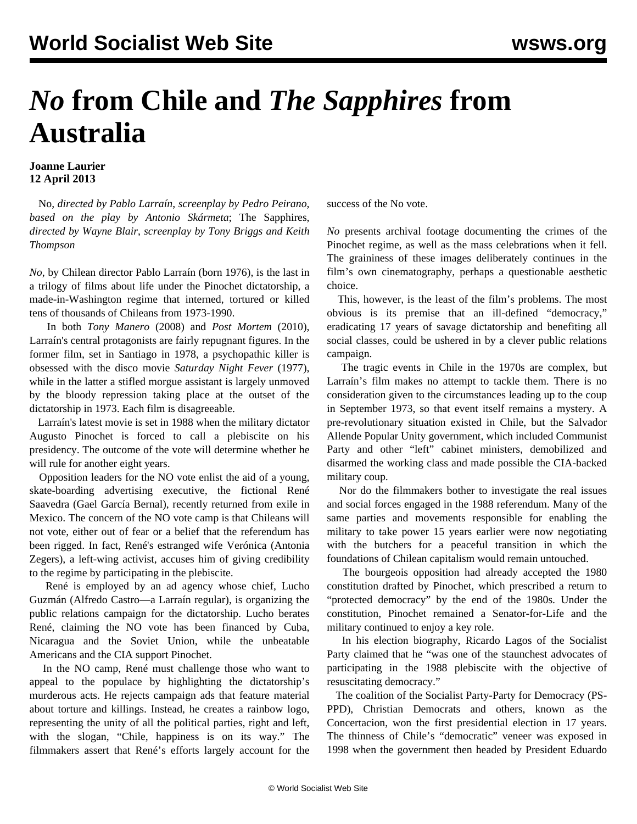## *No* **from Chile and** *The Sapphires* **from Australia**

## **Joanne Laurier 12 April 2013**

 No, *directed by Pablo Larraín*, *screenplay by Pedro Peirano*, *based on the play by Antonio Skármeta*; The Sapphires, *directed by Wayne Blair*, *screenplay by Tony Briggs and Keith Thompson*

*No*, by Chilean director Pablo Larraín (born 1976), is the last in a trilogy of films about life under the Pinochet dictatorship, a made-in-Washington regime that interned, tortured or killed tens of thousands of Chileans from 1973-1990.

 In both *Tony Manero* (2008) and *Post Mortem* (2010), Larraín's central protagonists are fairly repugnant figures. In the former film, set in Santiago in 1978, a psychopathic killer is obsessed with the disco movie *Saturday Night Fever* (1977), while in the latter a stifled morgue assistant is largely unmoved by the bloody repression taking place at the outset of the dictatorship in 1973. Each film is disagreeable.

 Larraín's latest movie is set in 1988 when the military dictator Augusto Pinochet is forced to call a plebiscite on his presidency. The outcome of the vote will determine whether he will rule for another eight years.

 Opposition leaders for the NO vote enlist the aid of a young, skate-boarding advertising executive, the fictional René Saavedra (Gael García Bernal), recently returned from exile in Mexico. The concern of the NO vote camp is that Chileans will not vote, either out of fear or a belief that the referendum has been rigged. In fact, René's estranged wife Verónica (Antonia Zegers), a left-wing activist, accuses him of giving credibility to the regime by participating in the plebiscite.

 René is employed by an ad agency whose chief, Lucho Guzmán (Alfredo Castro—a Larraín regular), is organizing the public relations campaign for the dictatorship. Lucho berates René, claiming the NO vote has been financed by Cuba, Nicaragua and the Soviet Union, while the unbeatable Americans and the CIA support Pinochet.

 In the NO camp, René must challenge those who want to appeal to the populace by highlighting the dictatorship's murderous acts. He rejects campaign ads that feature material about torture and killings. Instead, he creates a rainbow logo, representing the unity of all the political parties, right and left, with the slogan, "Chile, happiness is on its way." The filmmakers assert that René's efforts largely account for the success of the No vote.

*No* presents archival footage documenting the crimes of the Pinochet regime, as well as the mass celebrations when it fell. The graininess of these images deliberately continues in the film's own cinematography, perhaps a questionable aesthetic choice.

 This, however, is the least of the film's problems. The most obvious is its premise that an ill-defined "democracy," eradicating 17 years of savage dictatorship and benefiting all social classes, could be ushered in by a clever public relations campaign.

 The tragic events in Chile in the 1970s are complex, but Larraín's film makes no attempt to tackle them. There is no consideration given to the circumstances leading up to the coup in September 1973, so that event itself remains a mystery. A pre-revolutionary situation existed in Chile, but the Salvador Allende Popular Unity government, which included Communist Party and other "left" cabinet ministers, demobilized and disarmed the working class and made possible the CIA-backed military coup.

 Nor do the filmmakers bother to investigate the real issues and social forces engaged in the 1988 referendum. Many of the same parties and movements responsible for enabling the military to take power 15 years earlier were now negotiating with the butchers for a peaceful transition in which the foundations of Chilean capitalism would remain untouched.

 The bourgeois opposition had already accepted the 1980 constitution drafted by Pinochet, which prescribed a return to "protected democracy" by the end of the 1980s. Under the constitution, Pinochet remained a Senator-for-Life and the military continued to enjoy a key role.

 In his election biography, Ricardo Lagos of the Socialist Party claimed that he "was one of the staunchest advocates of participating in the 1988 plebiscite with the objective of resuscitating democracy."

 The coalition of the Socialist Party-Party for Democracy (PS-PPD), Christian Democrats and others, known as the Concertacion, won the first presidential election in 17 years. The thinness of Chile's "democratic" veneer was exposed in 1998 when the government then headed by President Eduardo